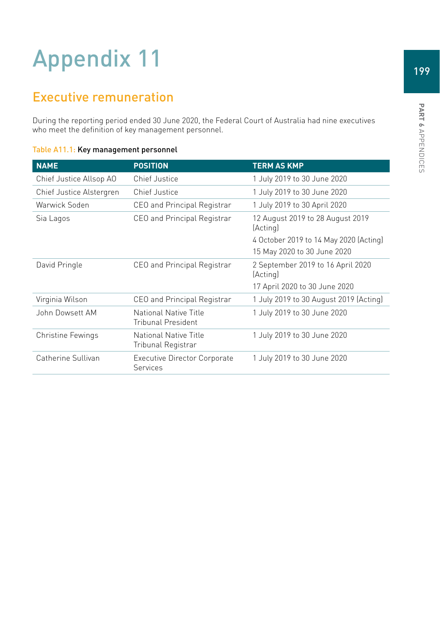## Appendix 11

## Executive remuneration

During the reporting period ended 30 June 2020, the Federal Court of Australia had nine executives who meet the definition of key management personnel.

| <b>NAME</b>              | <b>POSITION</b>                                        | <b>TERM AS KMP</b>                            |
|--------------------------|--------------------------------------------------------|-----------------------------------------------|
| Chief Justice Allsop AO  | <b>Chief Justice</b>                                   | 1 July 2019 to 30 June 2020                   |
| Chief Justice Alstergren | Chief Justice                                          | 1 July 2019 to 30 June 2020                   |
| Warwick Soden            | CEO and Principal Registrar                            | 1 July 2019 to 30 April 2020                  |
| Sia Lagos                | CEO and Principal Registrar                            | 12 August 2019 to 28 August 2019<br>(Acting)  |
|                          |                                                        | 4 October 2019 to 14 May 2020 (Acting)        |
|                          |                                                        | 15 May 2020 to 30 June 2020                   |
| David Pringle            | CEO and Principal Registrar                            | 2 September 2019 to 16 April 2020<br>(Acting) |
|                          |                                                        | 17 April 2020 to 30 June 2020                 |
| Virginia Wilson          | CEO and Principal Registrar                            | 1 July 2019 to 30 August 2019 (Acting)        |
| John Dowsett AM          | National Native Title<br>Tribunal President            | 1 July 2019 to 30 June 2020                   |
| Christine Fewings        | National Native Title<br>Tribunal Registrar            | 1 July 2019 to 30 June 2020                   |
| Catherine Sullivan       | <b>Executive Director Corporate</b><br><b>Services</b> | 1 July 2019 to 30 June 2020                   |

## Table A11.1: Key management personnel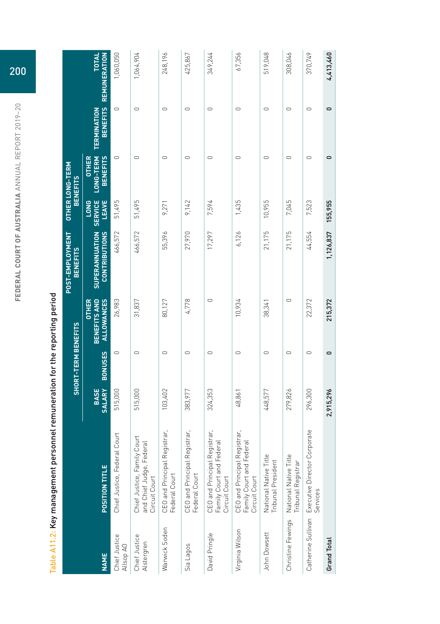|                             | Table A11.2: Key management personnel remuneration for the reporting period |                              |                     |                                                   |                                               |                                        |                                              |                                |                                     |
|-----------------------------|-----------------------------------------------------------------------------|------------------------------|---------------------|---------------------------------------------------|-----------------------------------------------|----------------------------------------|----------------------------------------------|--------------------------------|-------------------------------------|
|                             |                                                                             |                              | SHORT-TERM BENEFITS |                                                   | POST-EMPLOYMENT<br><b>BENEFITS</b>            |                                        | <b>OTHER LONG-TERM</b><br><b>BENEFITS</b>    |                                |                                     |
| <b>NAME</b>                 | POSITION TITLE                                                              | <b>BASE</b><br><b>SALARY</b> | <b>BONUSES</b>      | BENEFITS AND<br><b>ALLOWANCES</b><br><b>OTHER</b> | <b>CONTRIBUTIONS</b><br><b>SUPERANNUATION</b> | <b>LONG</b><br><b>SERVICE</b><br>LEAVE | <b>OTHER</b><br>LONG-TERM<br><b>BENEFITS</b> | <b>BENEFITS</b><br>TERMINATION | <b>REMUNERATION</b><br><b>TOTAL</b> |
| Chief Justice<br>Allsop AO  | Chief Justice, Federal Court                                                | 515,000                      | $\circ$             | 26,983                                            | 466,572                                       | 51,495                                 | $\circ$                                      | $\circ$                        | 1,060,050                           |
| Chief Justice<br>Alstergren | Chief Justice, Family Court<br>and Chief Judge, Federal<br>Circuit Court    | 515,000                      | $\circ$             | 31,837                                            | 466,572                                       | 51,495                                 | $\circ$                                      | $\circ$                        | 1,064,904                           |
| Warwick Soden               | <b>CEO</b> and Principal Registrar,<br>Federal Court                        | 103,402                      | $\circ$             | 80,127                                            | 55,396                                        | 9,271                                  | $\circ$                                      | $\circ$                        | 248,196                             |
| Sia Lagos                   | <b>CEO</b> and Principal Registrar,<br>Federal Court                        | 383,977                      | $\circ$             | 4,778                                             | 27,970                                        | 9,142                                  | $\circ$                                      | $\cup$                         | 425,867                             |
| David Pringle               | CEO and Principal Registrar,<br>Family Court and Federal<br>Circuit Court   | 324,353                      | $\circ$             | $\circ$                                           | 17,297                                        | 7,594                                  | $\circ$                                      | $\circ$                        | 349,244                             |
| Virginia Wilson             | CEO and Principal Registrar,<br>Family Court and Federal<br>Circuit Court   | 48,861                       | $\circ$             | 10,934                                            | 6,126                                         | 1,435                                  | $\circ$                                      | $\cup$                         | 67,356                              |
| John Dowsett                | National Native Title<br>Tribunal President                                 | 448,577                      | $\circ$             | 38,341                                            | 21,175                                        | 10,955                                 | $\circ$                                      | $\cup$                         | 519,048                             |
| Christine Fewings           | National Native Title<br>Tribunal Registrar                                 | 279,826                      | $\circ$             | $\cup$                                            | 21,175                                        | 7,045                                  | $\circ$                                      | $\cup$                         | 308,046                             |
|                             | Catherine Sullivan Executive Director Corporate<br>Services                 | 296,300                      | $\circ$             | 22,372                                            | 44,554                                        | 7,523                                  | $\circ$                                      | $\circ$                        | 370,749                             |
| Grand Total                 |                                                                             | 2,915,296                    | 0                   | 215,372                                           | 1,126,837                                     | 155,955                                | 0                                            | 0                              | 4,413,460                           |

 $\ddot{\phantom{a}}$ Ŕ  $\frac{4}{3}$ J, Ŕ Ĭ. j Table A11 OF Ve